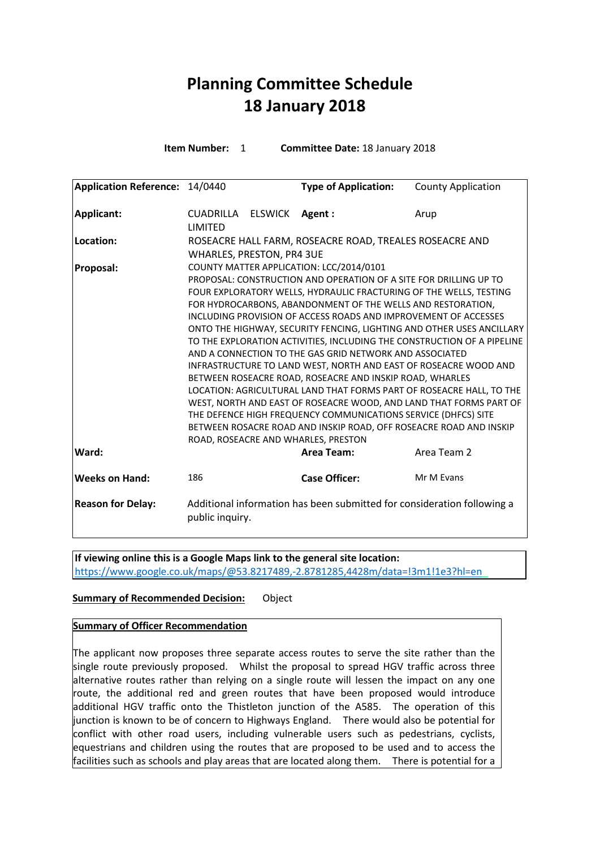## **Planning Committee Schedule 18 January 2018**

**Item Number:** 1 **Committee Date:** 18 January 2018

| Application Reference: 14/0440 |                                                                                                                                                                                                                                                                                                                                                                                                                                                                                                                                                                                                                                                                                                                                                                                                                                                                                                                                                                                                   |  | <b>Type of Application:</b> | <b>County Application</b> |
|--------------------------------|---------------------------------------------------------------------------------------------------------------------------------------------------------------------------------------------------------------------------------------------------------------------------------------------------------------------------------------------------------------------------------------------------------------------------------------------------------------------------------------------------------------------------------------------------------------------------------------------------------------------------------------------------------------------------------------------------------------------------------------------------------------------------------------------------------------------------------------------------------------------------------------------------------------------------------------------------------------------------------------------------|--|-----------------------------|---------------------------|
| Applicant:                     | CUADRILLA ELSWICK<br><b>LIMITED</b>                                                                                                                                                                                                                                                                                                                                                                                                                                                                                                                                                                                                                                                                                                                                                                                                                                                                                                                                                               |  | Agent:                      | Arup                      |
| Location:                      | ROSEACRE HALL FARM, ROSEACRE ROAD, TREALES ROSEACRE AND<br><b>WHARLES, PRESTON, PR4 3UE</b>                                                                                                                                                                                                                                                                                                                                                                                                                                                                                                                                                                                                                                                                                                                                                                                                                                                                                                       |  |                             |                           |
| <b>Proposal:</b>               | COUNTY MATTER APPLICATION: LCC/2014/0101<br>PROPOSAL: CONSTRUCTION AND OPERATION OF A SITE FOR DRILLING UP TO<br>FOUR EXPLORATORY WELLS, HYDRAULIC FRACTURING OF THE WELLS, TESTING<br>FOR HYDROCARBONS, ABANDONMENT OF THE WELLS AND RESTORATION,<br>INCLUDING PROVISION OF ACCESS ROADS AND IMPROVEMENT OF ACCESSES<br>ONTO THE HIGHWAY, SECURITY FENCING, LIGHTING AND OTHER USES ANCILLARY<br>TO THE EXPLORATION ACTIVITIES, INCLUDING THE CONSTRUCTION OF A PIPELINE<br>AND A CONNECTION TO THE GAS GRID NETWORK AND ASSOCIATED<br>INFRASTRUCTURE TO LAND WEST, NORTH AND EAST OF ROSEACRE WOOD AND<br>BETWEEN ROSEACRE ROAD, ROSEACRE AND INSKIP ROAD, WHARLES<br>LOCATION: AGRICULTURAL LAND THAT FORMS PART OF ROSEACRE HALL, TO THE<br>WEST, NORTH AND EAST OF ROSEACRE WOOD, AND LAND THAT FORMS PART OF<br>THE DEFENCE HIGH FREQUENCY COMMUNICATIONS SERVICE (DHFCS) SITE<br>BETWEEN ROSACRE ROAD AND INSKIP ROAD, OFF ROSEACRE ROAD AND INSKIP<br>ROAD, ROSEACRE AND WHARLES, PRESTON |  |                             |                           |
| Ward:                          |                                                                                                                                                                                                                                                                                                                                                                                                                                                                                                                                                                                                                                                                                                                                                                                                                                                                                                                                                                                                   |  | Area Team:                  | Area Team 2               |
| <b>Weeks on Hand:</b>          | 186                                                                                                                                                                                                                                                                                                                                                                                                                                                                                                                                                                                                                                                                                                                                                                                                                                                                                                                                                                                               |  | <b>Case Officer:</b>        | Mr M Evans                |
| <b>Reason for Delay:</b>       | Additional information has been submitted for consideration following a<br>public inquiry.                                                                                                                                                                                                                                                                                                                                                                                                                                                                                                                                                                                                                                                                                                                                                                                                                                                                                                        |  |                             |                           |

**If viewing online this is a Google Maps link to the general site location:** <https://www.google.co.uk/maps/@53.8217489,-2.8781285,4428m/data=!3m1!1e3?hl=en>

## **Summary of Recommended Decision:** Object

## **Summary of Officer Recommendation**

The applicant now proposes three separate access routes to serve the site rather than the single route previously proposed. Whilst the proposal to spread HGV traffic across three alternative routes rather than relying on a single route will lessen the impact on any one route, the additional red and green routes that have been proposed would introduce additional HGV traffic onto the Thistleton junction of the A585. The operation of this junction is known to be of concern to Highways England. There would also be potential for conflict with other road users, including vulnerable users such as pedestrians, cyclists, equestrians and children using the routes that are proposed to be used and to access the facilities such as schools and play areas that are located along them. There is potential for a